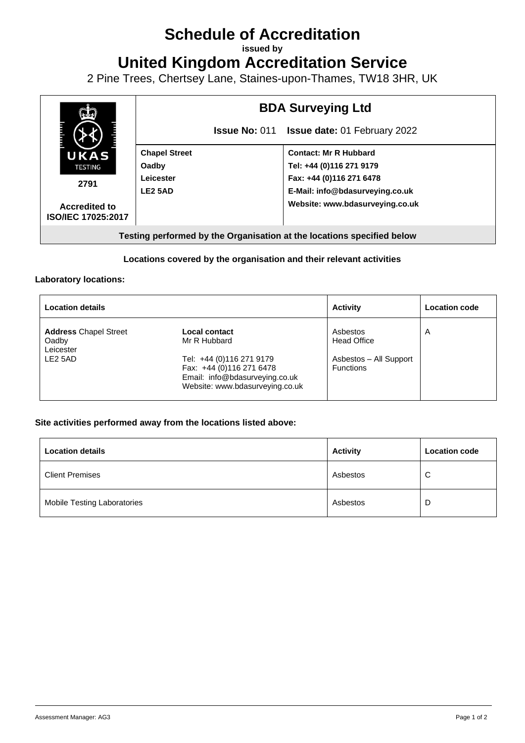# **Schedule of Accreditation**

**issued by**

**United Kingdom Accreditation Service**

2 Pine Trees, Chertsey Lane, Staines-upon-Thames, TW18 3HR, UK



## **Locations covered by the organisation and their relevant activities**

#### **Laboratory locations:**

| <b>Location details</b>                                                   |                                                                                                                                                            | <b>Activity</b>                                                              | <b>Location code</b> |
|---------------------------------------------------------------------------|------------------------------------------------------------------------------------------------------------------------------------------------------------|------------------------------------------------------------------------------|----------------------|
| <b>Address Chapel Street</b><br>Oadby<br>Leicester<br>LE <sub>2</sub> 5AD | Local contact<br>Mr R Hubbard<br>Tel: +44 (0)116 271 9179<br>Fax: +44 (0)116 271 6478<br>Email: info@bdasurveying.co.uk<br>Website: www.bdasurveying.co.uk | Asbestos<br><b>Head Office</b><br>Asbestos - All Support<br><b>Functions</b> | $\overline{A}$       |

#### **Site activities performed away from the locations listed above:**

| <b>Location details</b>            | <b>Activity</b> | <b>Location code</b> |
|------------------------------------|-----------------|----------------------|
| <b>Client Premises</b>             | Asbestos        | C                    |
| <b>Mobile Testing Laboratories</b> | Asbestos        | D                    |